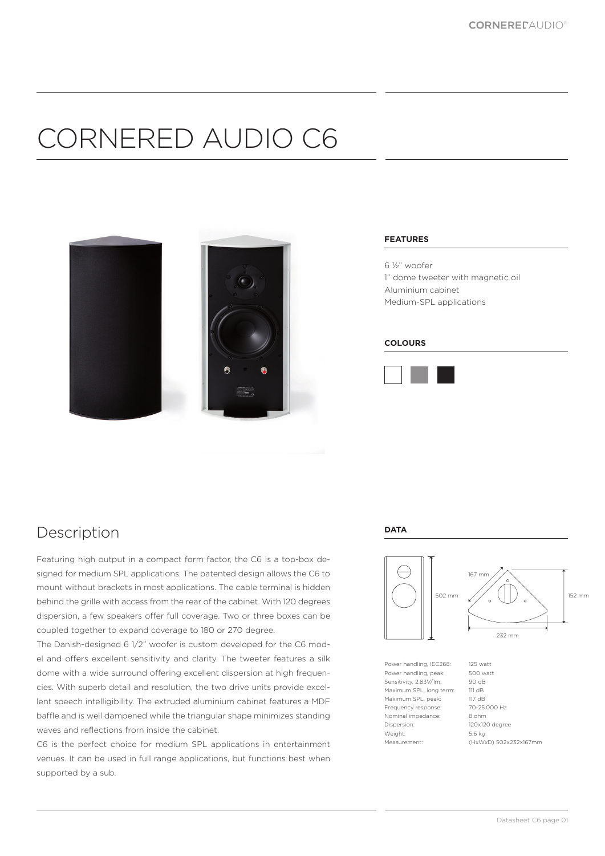## CORNERED AUDIO C6



#### **FEATURES**

6 ½" woofer 1" dome tweeter with magnetic oil Aluminium cabinet Medium-SPL applications

#### **COLOURS**



### **Description**

Featuring high output in a compact form factor, the C6 is a top-box designed for medium SPL applications. The patented design allows the C6 to mount without brackets in most applications. The cable terminal is hidden behind the grille with access from the rear of the cabinet. With 120 degrees dispersion, a few speakers offer full coverage. Two or three boxes can be coupled together to expand coverage to 180 or 270 degree.

The Danish-designed 6 1/2" woofer is custom developed for the C6 model and offers excellent sensitivity and clarity. The tweeter features a silk dome with a wide surround offering excellent dispersion at high frequencies. With superb detail and resolution, the two drive units provide excellent speech intelligibility. The extruded aluminium cabinet features a MDF baffle and is well dampened while the triangular shape minimizes standing waves and reflections from inside the cabinet.

C6 is the perfect choice for medium SPL applications in entertainment venues. It can be used in full range applications, but functions best when supported by a sub.

#### **DATA**